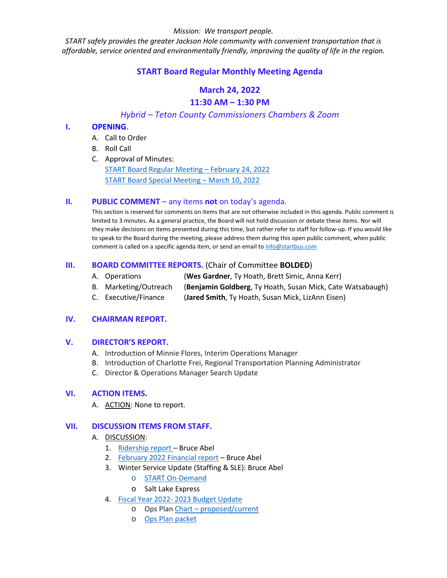#### *Mission: We transport people.*

*START safely provides the greater Jackson Hole community with convenient transportation that is affordable, service oriented and environmentally friendly, improving the quality of life in the region.*

# **START Board Regular Monthly Meeting Agenda**

## **March 24, 2022**

## **11:30 AM – 1:30 PM**

## *Hybrid – Teton County Commissioners Chambers & Zoom*

#### **I. OPENING**.

- A. Call to Order
- B. Roll Call
- C. Approval of Minutes: [START Board Regular Meeting –](https://www.jacksonwy.gov/DocumentCenter/View/5791/20220224STARTBdMinutes_final) [February 24, 2022](https://www.jacksonwy.gov/DocumentCenter/View/5791/20220224STARTBdMinutes_final) [START Board Special](https://www.jacksonwy.gov/DocumentCenter/View/5781/20220310STARTBdminutes_draft) Meeting – March 1[0, 2022](https://www.jacksonwy.gov/DocumentCenter/View/5781/20220310STARTBdminutes_draft)

#### **II. PUBLIC COMMENT** – any items **not** on today's agenda.

This section is reserved for comments on items that are not otherwise included in this agenda. Public comment is limited to 3 minutes. As a general practice, the Board will not hold discussion or debate these items. Nor will they make decisions on items presented during this time, but rather refer to staff for follow-up. If you would like to speak to the Board during the meeting, please address them during this open public comment, when public comment is called on a specific agenda item, or send an email to [info@startbus.com](mailto:info@startbus.com)

#### **III. BOARD COMMITTEE REPORTS.** (Chair of Committee **BOLDED**)

- A. Operations (**Wes Gardner**, Ty Hoath, Brett Simic, Anna Kerr)
- B. Marketing/Outreach (**Benjamin Goldberg**, Ty Hoath, Susan Mick, Cate Watsabaugh)
- C. Executive/Finance (**Jared Smith**, Ty Hoath, Susan Mick, LizAnn Eisen)

## **IV. CHAIRMAN REPORT.**

#### **V. DIRECTOR'S REPORT.**

- A. Introduction of Minnie Flores, Interim Operations Manager
- B. Introduction of Charlotte Frei, Regional Transportation Planning Administrator
- C. Director & Operations Manager Search Update

#### **VI. ACTION ITEMS.**

A. ACTION: None to report.

#### **VII. DISCUSSION ITEMS FROM STAFF.**

- A. DISCUSSION:
	- 1. [Ridership report](https://www.jacksonwy.gov/DocumentCenter/View/5697/Ridership_final2022) Bruce Abel
	- 2. February [2022 Financial report](https://www.jacksonwy.gov/DocumentCenter/View/5773/Feb-Financial-report) Bruce Abel
	- 3. Winter Service Update (Staffing & SLE): Bruce Abel
		- o [START On-Demand](https://www.jacksonwy.gov/DocumentCenter/View/5696/START-On-Demand-Reporting-February-2022)
		- o Salt Lake Express
	- 4. [Fiscal Year 2022-](https://www.jacksonwy.gov/DocumentCenter/View/5779/START-BUDGET-REQUEST) [2023 Budget Update](https://www.jacksonwy.gov/DocumentCenter/View/5779/START-BUDGET-REQUEST)
		- o Ops Pla[n Chart –](https://www.jacksonwy.gov/DocumentCenter/View/5650/OperationsPlan) [proposed/current](https://www.jacksonwy.gov/DocumentCenter/View/5650/OperationsPlan)
		- o [Ops Plan packet](https://www.jacksonwy.gov/DocumentCenter/View/5777/STARTOpsPlanBudgetFY22-23_final_packet)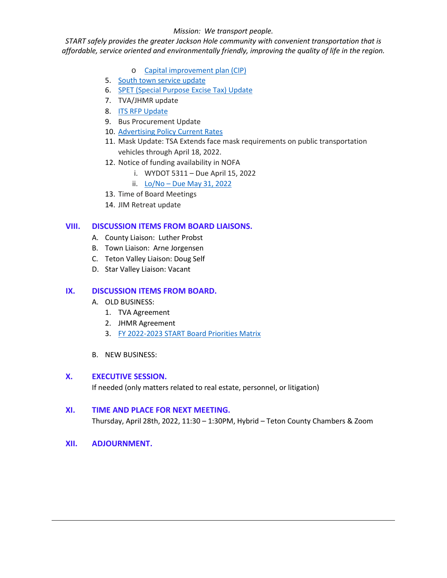#### *Mission: We transport people.*

*START safely provides the greater Jackson Hole community with convenient transportation that is affordable, service oriented and environmentally friendly, improving the quality of life in the region.*

- o [Capital improvement plan \(CIP\)](https://www.jacksonwy.gov/DocumentCenter/View/5763/START-Capital-request-FY2022-2023)
- 5. [South town service update](https://www.jacksonwy.gov/DocumentCenter/View/5775/South-Towns)
- 6. SPET [\(Special Purpose Excise Tax\)](https://www.jacksonwy.gov/DocumentCenter/View/5774/SPET-timeline) [Update](https://www.jacksonwy.gov/DocumentCenter/View/5774/SPET-timeline)
- 7. TVA/JHMR update
- 8. [ITS RFP Update](https://www.jacksonwy.gov/DocumentCenter/View/5793/START-ITS-RFP_-Selection-Committee-Calendar_April2022)
- 9. Bus Procurement Update
- 10. [Advertising Policy Current Rates](https://www.jacksonwy.gov/DocumentCenter/View/5776/Advertising-Policy-Current-Rates)
- 11. Mask Update: TSA Extends face mask requirements on public transportation vehicles through April 18, 2022.
- 12. Notice of funding availability in NOFA
	- i. WYDOT 5311 Due April 15, 2022
	- ii. Lo/No [Due May](https://www.jacksonwy.gov/DocumentCenter/View/5763/START-Capital-request-FY2022-2023) 31, 2022
- 13. Time of Board Meetings
- 14. JIM Retreat update

## **VIII. DISCUSSION ITEMS FROM BOARD LIAISONS.**

- A. County Liaison: Luther Probst
- B. Town Liaison: Arne Jorgensen
- C. Teton Valley Liaison: Doug Self
- D. Star Valley Liaison: Vacant

## **IX. DISCUSSION ITEMS FROM BOARD.**

- A. OLD BUSINESS:
	- 1. TVA Agreement
	- 2. JHMR Agreement
	- 3. [FY 2022-2023 START Board Priorities Matrix](https://www.jacksonwy.gov/DocumentCenter/View/5668/START-Board-FY-2022-2023-Priorities-Matrix)
- B. NEW BUSINESS:

## **X. EXECUTIVE SESSION.**

If needed (only matters related to real estate, personnel, or litigation)

## **XI. TIME AND PLACE FOR NEXT MEETING.**

Thursday, April 28th, 2022, 11:30 – 1:30PM, Hybrid – Teton County Chambers & Zoom

**XII. ADJOURNMENT.**